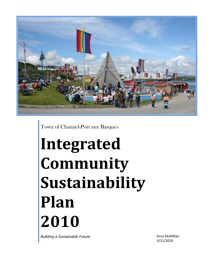

Town of Channel-Port aux Basques

# **Integrated Community Sustainability Plan 2010**

*Building a Sustainable Future*

Arvo McMillan 3/31/2010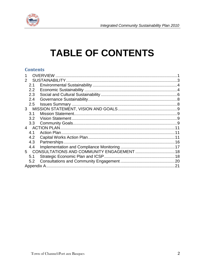

# **TABLE OF CONTENTS**

#### **Contents**

|                | 2.1           |  |  |
|----------------|---------------|--|--|
|                | $2.2^{\circ}$ |  |  |
|                | 2.3           |  |  |
|                | 2.4           |  |  |
|                | 2.5           |  |  |
| 3              |               |  |  |
|                | 3.1           |  |  |
|                | 3.2           |  |  |
|                | 3.3           |  |  |
| $\overline{4}$ |               |  |  |
|                | 4.1           |  |  |
|                | 4.2           |  |  |
|                | 4.3           |  |  |
|                | 4.4           |  |  |
| 5              |               |  |  |
|                | 5.1           |  |  |
|                | 5.2           |  |  |
|                | .21           |  |  |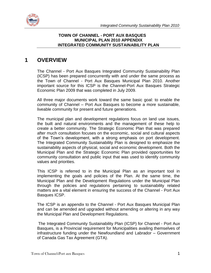



#### **TOWN OF CHANNEL - PORT AUX BASQUES MUNICIPAL PLAN 2010 APPENDIX INTEGRATED COMMUNITY SUSTAINABILITY PLAN**

## <span id="page-2-0"></span>**1 OVERVIEW**

The Channel - Port Aux Basques Integrated Community Sustainability Plan (ICSP) has been prepared concurrently with and under the same process as the Town of Channel - Port Aux Basques Municipal Plan 2010. Another important source for this ICSP is the Channel-Port Aux Basques Strategic Economic Plan 2009 that was completed in July 2009.

All three major documents work toward the same basic goal: to enable the community of Channel – Port Aux Basques to become a more sustainable, liveable community for present and future generations.

The municipal plan and development regulations focus on land use issues, the built and natural environments and the management of these help to create a better community. The Strategic Economic Plan that was prepared after much consultation focuses on the economic, social and cultural aspects of the Town's development, with a strong emphasis on port development. The Integrated Community Sustainability Plan is designed to emphasize the sustainability aspects of physical, social and economic development. Both the Municipal Plan and the Strategic Economic Plan provided opportunities for community consultation and public input that was used to identify community values and priorities.

This ICSP is referred to in the Municipal Plan as an important tool in implementing the goals and policies of the Plan. At the same time, the Municipal Plan and the Development Regulations under the Municipal Plan through the policies and regulations pertaining to sustainability related matters are a vital element in ensuring the success of the Channel - Port Aux Basques ICSP.

The ICSP is an appendix to the Channel - Port Aux Basques Municipal Plan and can be amended and upgraded without amending or altering in any way the Municipal Plan and Development Regulations.

The Integrated Community Sustainability Plan (ICSP) for Channel - Port Aux Basques, is a Provincial requirement for Municipalities availing themselves of infrastructure funding under the Newfoundland and Labrador – Government of Canada Gas Tax Agreement (GTA).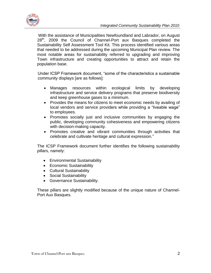

With the assistance of Municipalities Newfoundland and Labrador, on August 28<sup>th</sup>, 2009 the Council of Channel-Port aux Basques completed the Sustainability Self Assessment Tool Kit. This process identified various areas that needed to be addressed during the upcoming Municipal Plan review. The most notable areas for sustainability referred to upgrading and improving Town infrastructure and creating opportunities to attract and retain the population base.

Under ICSP Framework document, "some of the characteristics a sustainable community displays [are as follows]:

- Manages resources within ecological limits by developing infrastructure and service delivery programs that preserve biodiversity and keep greenhouse gases to a minimum.
- Provides the means for citizens to meet economic needs by availing of local vendors and service providers while providing a "liveable wage" to employees.
- Promotes socially just and inclusive communities by engaging the public, developing community cohesiveness and empowering citizens with decision-making capacity.
- Promotes creative and vibrant communities through activities that celebrate and cultivate heritage and cultural expression."

The ICSP Framework document further identifies the following sustainability pillars, namely:

- Environmental Sustainability
- Economic Sustainability
- Cultural Sustainability
- Social Sustainability
- Governance Sustainability.

These pillars are slightly modified because of the unique nature of Channel-Port Aux Basques.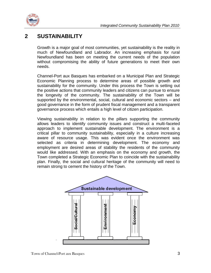

## <span id="page-4-0"></span>**2 SUSTAINABILITY**

Growth is a major goal of most communities, yet sustainability is the reality in much of Newfoundland and Labrador. An increasing emphasis for rural Newfoundland has been on meeting the current needs of the population without compromising the ability of future generations to meet their own needs.

Channel-Port aux Basques has embarked on a Municipal Plan and Strategic Economic Planning process to determine areas of possible growth and sustainability for the community. Under this process the Town is setting out the positive actions that community leaders and citizens can pursue to ensure the longevity of the community. The sustainability of the Town will be supported by the environmental, social, cultural and economic sectors – and good governance in the form of prudent fiscal management and a transparent governance process which entails a high level of citizen participation.

Viewing sustainability in relation to the pillars supporting the community allows leaders to identify community issues and construct a multi-faceted approach to implement sustainable development. The environment is a critical pillar to community sustainability, especially in a culture increasing aware of resource usage. This was evident once the environment was selected as criteria in determining development. The economy and employment are desired areas of stability the residents of the community would like addressed. With an emphasis on the economy and growth, the Town completed a Strategic Economic Plan to coincide with the sustainability plan. Finally, the social and cultural heritage of the community will need to remain strong to cement the history of the Town.

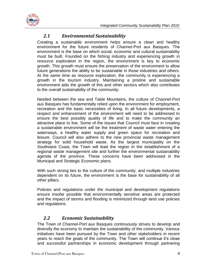



#### *2.1 Environmental Sustainability*

<span id="page-5-0"></span>Creating a sustainable environment helps ensure a clean and healthy environment for the future residents of Channel-Port aux Basques. The environment is the base on which social, economic and cultural sustainability must be built. Founded on the fishing industry and experiencing growth in resource exploration in the region, the environment is key to economic growth. This growth must ensure the preservation of the environment to allow future generations the ability to be sustainable in those industries and others. At the same time as resource exploration, the community is experiencing a growth in the tourism industry. Maintaining a pristine and sustainable environment aids the growth of this and other sectors which also contributes to the overall sustainability of the community.

Nestled between the sea and Table Mountains, the culture of Channel-Port aux Basques has fundamentally relied upon the environment for employment, recreation and the basic necessities of living. In all future developments, a respect and enhancement of the environment will need to be addressed to ensure the best possibly quality of life and to make the community an attractive place to live. Some of the issues that Council must face in creating a sustainable environment will be the treatment of waste water entering the waterways, a healthy water supply and green space for recreation and leisure. Council will also adhere to the new provincial waste management strategy for solid household waste. As the largest municipality on the Southwest Coast, the Town will lead the region in the establishment of a regional waste management site and further the environmental sustainability agenda of the province. These concerns have been addressed in the Municipal and Strategic Economic plans.

With such strong ties to the culture of the community, and multiple industries dependent on its future, the environment is the base for sustainability of all other pillars.

Policies and regulations under the municipal and development regulations ensure insofar possible that environmentally sensitive areas are protected and the impact of storms and flooding is minimized through land use policies and regulations.

#### *2.2 Economic Sustainability*

<span id="page-5-1"></span>The Town of Channel-Port aux Basques continuously strives to develop and diversify the economy to maintain the sustainability of the community. Various initiatives have been pursued by the Town and other stakeholders in recent years to reach the goals of the community. The Town will continue it's close and successful partnerships in economic development through partnering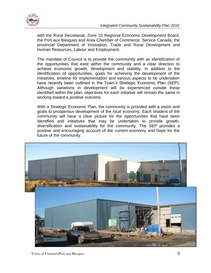

with the Rural Secretariat, Zone 10 Regional Economic Development Board, the Port aux Basques and Area Chamber of Commerce, Service Canada, the provincial Department of Innovation, Trade and Rural Development and Human Resources, Labour and Employment.

The mandate of Council is to provide the community with an identification of the opportunities that exist within the community and a clear direction to achieve economic growth, development and stability. In addition to the identification of opportunities, goals for achieving the development of the initiatives, timeline for implementation and various aspects to be undertaken have recently been outlined in the Town's Strategic Economic Plan (SEP). Although variations in development will be experienced outside those identified within the plan, objectives for each initiative will remain the same in working toward a positive outcome.

With a Strategic Economic Plan, the community is provided with a vision and goals to prosperous development of the local economy. Each resident of the community will have a clear picture for the opportunities that have been identified and initiatives that may be undertaken to provide growth, diversification and sustainability for the community. The SEP provides a positive and encouraging account of the current economy and hope for the future of the community.

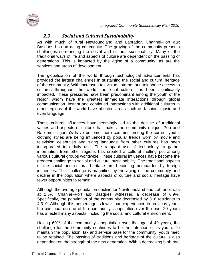



#### *2.3 Social and Cultural Sustainability*

<span id="page-7-0"></span>As with much of rural Newfoundland and Labrador, Channel-Port aux Basques has an aging community. The graying of the community presents challenges surrounding the social and cultural sustainability. Many of the traditional ways of life and aspects of culture are dependent on the passing of generations. This is impacted by the aging of a community, as are the services and areas of development.

The globalization of the world through technological advancements has provided the largest challenges in sustaining the social and cultural heritage of the community. With increased television, internet and telephone access to cultures throughout the world, the local culture has been significantly impacted. These pressures have been predominant among the youth of the region whom have the greatest immediate interactions through global communication. Instant and continued interactions with additional cultures in other regions of the world have affected areas such as fashion, music and even language.

These cultural influences have seemingly led to the decline of traditional values and aspects of culture that makes the community unique. Pop and Rap music genre's have become more common among the current youth, clothing styles are being influenced by popular trends worn by movie and television celebrities and slang language from other cultures has been incorporated into daily use. The rampant use of technology to gather information from other regions has created a cultural melting pot among various cultural groups worldwide. These cultural influences have become the greatest challenge to social and cultural sustainability. The traditional aspects of the social and cultural heritage are becoming bombarded by foreign influences. This challenge is magnified by the aging of the community and decline in the population where aspects of culture and social heritage have fewer opportunities to remain.

Although the average population decline for Newfoundland and Labrador was at 1.5%, Channel-Port aux Basques witnessed a decrease of 6.9%. Specifically, the population of the community decreased by 318 residents to 4,319. Although this percentage is lower than experienced in previous years, the continual decline of the community's population over the past 20 years has affected many aspects, including the social and cultural environment.

Having 60% of the community's population over the age of 40 years, the challenge for the community continues to be the retention of its youth. To maintain the population, tax and service base for the community, youth need to be retained. The passing of traditions and heritage of the culture is also dependent on the strength of the next generation. With a decreasing birth rate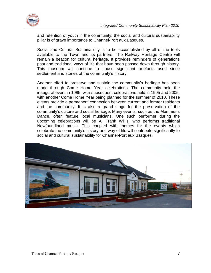

and retention of youth in the community, the social and cultural sustainability pillar is of grave importance to Channel-Port aux Basques.

Social and Cultural Sustainability is to be accomplished by all of the tools available to the Town and its partners. The Railway Heritage Centre will remain a beacon for cultural heritage. It provides reminders of generations past and traditional ways of life that have been passed down through history. This museum will continue to house significant artefacts used since settlement and stories of the community's history.

Another effort to preserve and sustain the community's heritage has been made through Come Home Year celebrations. The community held the inaugural event in 1985, with subsequent celebrations held in 1995 and 2005, with another Come Home Year being planned for the summer of 2010. These events provide a permanent connection between current and former residents and the community. It is also a grand stage for the preservation of the community's culture and social heritage. Many events, such as the Mummer's Dance, often feature local musicians. One such performer during the upcoming celebrations will be A. Frank Willis, who performs traditional Newfoundland music. This coupled with themes for the events which celebrate the community's history and way of life will contribute significantly to social and cultural sustainability for Channel-Port aux Basques.

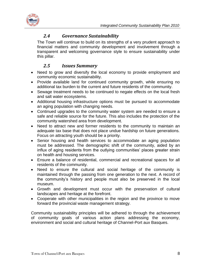

#### *2.4 Governance Sustainability*

<span id="page-9-0"></span>The Town will continue to build on its strengths of a very prudent approach to financial matters and community development and involvement through a transparent and welcoming governance style to ensure sustainability under this pillar.

#### *2.5 Issues Summary*

- <span id="page-9-1"></span>• Need to grow and diversify the local economy to provide employment and community economic sustainability.
- Provide available land for continued community growth, while ensuring no additional tax burden to the current and future residents of the community.
- Sewage treatment needs to be continued to negate effects on the local fresh and salt water ecosystems.
- Additional housing infrastructure options must be pursued to accommodate an aging population with changing needs.
- Continued upgrades to the community water system are needed to ensure a safe and reliable source for the future. This also includes the protection of the community watershed area from development.
- Need to attract new and former residents to the community to maintain an adequate tax base that does not place undue hardship on future generations. Focus on attracting youth should be a priority.
- Senior housing and health services to accommodate an aging population must be addressed. The demographic shift of the community, aided by an influx of aging residents from the outlying communities' places greater strain on health and housing services.
- Ensure a balance of residential, commercial and recreational spaces for all residents of the community.
- Need to ensure the cultural and social heritage of the community is maintained through the passing from one generation to the next. A record of the community's history and people must also be preserved in the local museum.
- Growth and development must occur with the preservation of cultural landscapes and heritage at the forefront.
- Cooperate with other municipalities in the region and the province to move forward the provincial waste management strategy.

Community sustainability principles will be adhered to through the achievement of community goals of various action plans addressing the economy, environment and social and cultural heritage of Channel-Port aux Basques.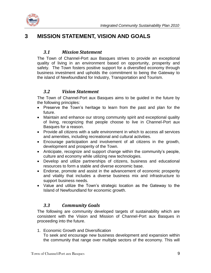

# <span id="page-10-1"></span><span id="page-10-0"></span>**3 MISSION STATEMENT, VISION AND GOALS**

#### *3.1 Mission Statement*

The Town of Channel-Port aux Basques strives to provide an exceptional quality of living in an environment based on opportunity, prosperity and safety. The Town fosters positive support for a diversified economy through business investment and upholds the commitment to being the Gateway to the island of Newfoundland for Industry, Transportation and Tourism.

#### *3.2 Vision Statement*

<span id="page-10-2"></span>The Town of Channel-Port aux Basques aims to be guided in the future by the following principles:

- Preserve the Town's heritage to learn from the past and plan for the future.
- Maintain and enhance our strong community spirit and exceptional quality of living, recognizing that people choose to live in Channel-Port aux Basques for a reason.
- Provide all citizens with a safe environment in which to access all services and amenities, including recreational and cultural activities.
- Encourage participation and involvement of all citizens in the growth, development and prosperity of the Town.
- Anticipate, recognize and support change within the community's people, culture and economy while utilizing new technologies.
- Develop and utilize partnerships of citizens, business and educational resources to form a stable and diverse economic base.
- Endorse, promote and assist in the advancement of economic prosperity and vitality that includes a diverse business mix and infrastructure to support business needs.
- Value and utilize the Town's strategic location as the Gateway to the Island of Newfoundland for economic growth.

#### *3.3 Community Goals*

<span id="page-10-3"></span>The following are community developed targets of sustainability which are consistent with the Vision and Mission of Channel-Port aux Basques in proceeding into the future.

1. Economic Growth and Diversification

To seek and encourage new business development and expansion within the community that range over multiple sectors of the economy. This will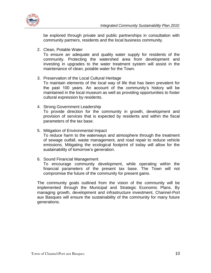

be explored through private and public partnerships in consultation with community partners, residents and the local business community.

2. Clean, Potable Water

To ensure an adequate and quality water supply for residents of the community. Protecting the watershed area from development and investing in upgrades to the water treatment system will assist in the maintenance of clean, potable water for the Town.

- 3. Preservation of the Local Cultural Heritage To maintain elements of the local way of life that has been prevalent for the past 100 years. An account of the community's history will be maintained in the local museum as well as providing opportunities to foster cultural expression by residents.
- 4. Strong Government Leadership To provide direction for the community in growth, development and provision of services that is expected by residents and within the fiscal parameters of the tax base.
- 5. Mitigation of Environmental Impact To reduce harm to the waterways and atmosphere through the treatment of sewage outfall, waste management, and road repair to reduce vehicle emissions. Mitigating the ecological footprint of today will allow for the sustainability of tomorrow's generation.
- 6. Sound Financial Management

To encourage community development, while operating within the financial parameters of the present tax base. The Town will not compromise the future of the community for present gains.

The community goals outlined from the vision of the community will be implemented through the Municipal and Strategic Economic Plans. By managing growth, development and infrastructure investment, Channel-Port aux Basques will ensure the sustainability of the community for many future generations.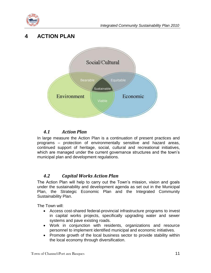

# <span id="page-12-0"></span>**4 ACTION PLAN**



#### *4.1 Action Plan*

<span id="page-12-1"></span>In large measure the Action Plan is a continuation of present practices and programs – protection of environmentally sensitive and hazard areas, continued support of heritage, social, cultural and recreational initiatives, which are managed under the current governance structures and the town's municipal plan and development regulations.

#### *4.2 Capital Works Action Plan*

<span id="page-12-2"></span>The Action Plan will help to carry out the Town's mission, vision and goals under the sustainability and development agenda as set out in the Municipal Plan, the Strategic Economic Plan and the Integrated Community Sustainability Plan.

The Town will:

- Access cost-shared federal-provincial infrastructure programs to invest in capital works projects, specifically upgrading water and sewer systems and pave existing roads.
- Work in conjunction with residents, organizations and resource personnel to implement identified municipal and economic initiatives.
- Promote growth of the local business sector to provide stability within the local economy through diversification.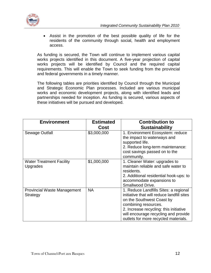

 Assist in the promotion of the best possible quality of life for the residents of the community through social, health and employment access.

As funding is secured, the Town will continue to implement various capital works projects identified in this document. A five-year projection of capital works projects will be identified by Council and the required capital requirements. This will enable the Town to seek funding from the provincial and federal governments in a timely manner.

The following tables are priorities identified by Council through the Municipal and Strategic Economic Plan processes. Included are various municipal works and economic development projects, along with identified leads and partnerships needed for inception. As funding is secured, various aspects of these initiatives will be pursued and developed.

| <b>Environment</b>                 | <b>Estimated</b> | <b>Contribution to</b>                     |
|------------------------------------|------------------|--------------------------------------------|
|                                    | Cost             | <b>Sustainability</b>                      |
| Sewage Outfall                     | \$3,000,000      | 1. Environment Ecosystem: reduce           |
|                                    |                  | the impact to waterways and                |
|                                    |                  | supported life.                            |
|                                    |                  | 2. Reduce long-term maintenance:           |
|                                    |                  | cost savings passed on to the              |
|                                    |                  | community.                                 |
| <b>Water Treatment Facility</b>    | \$1,000,000      | 1. Cleaner Water: upgrades to              |
| Upgrades                           |                  | maintain reliable and safe water to        |
|                                    |                  | residents.                                 |
|                                    |                  | 2. Additional residential hook-ups: to     |
|                                    |                  | accommodate expansions to                  |
|                                    |                  | Smallwood Drive.                           |
| <b>Provincial Waste Management</b> | <b>NA</b>        | 1. Reduce Landfills Sites: a regional      |
| Strategy                           |                  | initiative that will reduce landfill sites |
|                                    |                  | on the Southwest Coast by                  |
|                                    |                  | combining resources.                       |
|                                    |                  | 2. Increase recycling: this initiative     |
|                                    |                  | will encourage recycling and provide       |
|                                    |                  | outlets for more recycled materials.       |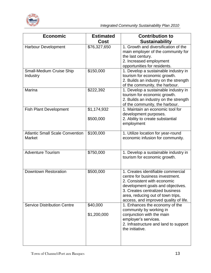

| <b>Economic</b>                                         | <b>Estimated</b><br>Cost | <b>Contribution to</b><br><b>Sustainability</b>                                                                                                                                                                                                           |
|---------------------------------------------------------|--------------------------|-----------------------------------------------------------------------------------------------------------------------------------------------------------------------------------------------------------------------------------------------------------|
| <b>Harbour Development</b>                              | \$76,327,650             | 1. Growth and diversification of the<br>main employer of the community for<br>the last century.<br>2. Increased employment<br>opportunities for residents.                                                                                                |
| Small-Medium Cruise Ship<br>Industry                    | \$150,000                | 1. Develop a sustainable industry in<br>tourism for economic growth.<br>2. Builds an industry on the strength<br>of the community, the harbour.                                                                                                           |
| Marina                                                  | \$222,392                | 1. Develop a sustainable industry in<br>tourism for economic growth.<br>2. Builds an industry on the strength<br>of the community, the harbour.                                                                                                           |
| <b>Fish Plant Development</b>                           | \$1,174,932<br>\$500,000 | 1. Maintain an economic tool for<br>development purposes.<br>2. Ability to create substantial<br>employment                                                                                                                                               |
| <b>Atlantic Small Scale Convention</b><br><b>Market</b> | \$100,000                | 1. Utilize location for year-round<br>economic infusion for community.                                                                                                                                                                                    |
| <b>Adventure Tourism</b>                                | \$750,000                | 1. Develop a sustainable industry in<br>tourism for economic growth.                                                                                                                                                                                      |
| <b>Downtown Restoration</b>                             | \$500,000                | 1. Creates identifiable commercial<br>centre for business investment.<br>2. Consistent with economic<br>development goals and objectives<br>3. Creates centralized business<br>area, reducing out of town trips,<br>access, and improved quality of life. |
| <b>Service Distribution Centre</b>                      | \$40,000<br>\$1,200,000  | 1. Enhances the economy of the<br>community by working in<br>conjunction with the main<br>employer's services.<br>2. Infrastructure and land to support<br>the initiative.                                                                                |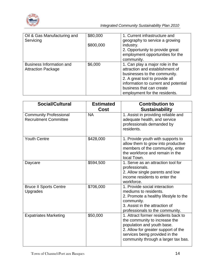

| Oil & Gas Manufacturing and<br>Servicing                     | \$80,000  | 1. Current infrastructure and<br>geography to service a growing                                                                                                                                                                           |
|--------------------------------------------------------------|-----------|-------------------------------------------------------------------------------------------------------------------------------------------------------------------------------------------------------------------------------------------|
|                                                              | \$800,000 | industry.<br>2. Opportunity to provide great<br>employment opportunities for the                                                                                                                                                          |
|                                                              |           | community.                                                                                                                                                                                                                                |
| <b>Business Information and</b><br><b>Attraction Package</b> | \$6,000   | 1. Can play a major role in the<br>attraction and establishment of<br>businesses to the community.<br>2. A great tool to provide all<br>information to current and potential<br>business that can create<br>employment for the residents. |

| <b>Social/Cultural</b>                                        | <b>Estimated</b><br>Cost | <b>Contribution to</b><br><b>Sustainability</b>                                                                                                                                                                    |
|---------------------------------------------------------------|--------------------------|--------------------------------------------------------------------------------------------------------------------------------------------------------------------------------------------------------------------|
| <b>Community Professional</b><br><b>Recruitment Committee</b> | <b>NA</b>                | 1. Assist in providing reliable and<br>adequate health, and service<br>professionals demanded by<br>residents.                                                                                                     |
| <b>Youth Centre</b>                                           | \$428,000                | 1. Provide youth with supports to<br>allow them to grow into productive<br>members of the community, enter<br>the workforce and remain in the<br>local Town.                                                       |
| Daycare                                                       | \$594,500                | 1. Serve as an attraction tool for<br>professionals.<br>2. Allow single parents and low<br>income residents to enter the<br>workforce.                                                                             |
| <b>Bruce II Sports Centre</b><br><b>Upgrades</b>              | \$706,000                | 1. Provide social interaction<br>mediums to residents.<br>2. Promote a healthy lifestyle to the<br>community.<br>3. Assist in the attraction of<br>professionals to the community.                                 |
| <b>Expatriates Marketing</b>                                  | \$50,000                 | 1. Attract former residents back to<br>the community to increase the<br>population and youth base.<br>2. Allow for greater support of the<br>services being provided in the<br>community through a larger tax bas. |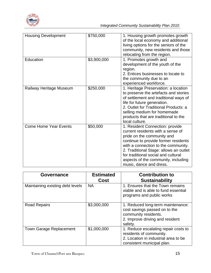

| <b>Housing Development</b>   | \$750,000   | 1. Housing growth promotes growth<br>of the local economy and additional<br>living options for the seniors of the<br>community, new residents and those<br>relocating from the region.                                                                                                                                               |
|------------------------------|-------------|--------------------------------------------------------------------------------------------------------------------------------------------------------------------------------------------------------------------------------------------------------------------------------------------------------------------------------------|
| Education                    | \$3,900,000 | 1. Promotes growth and<br>development of the youth of the<br>region.<br>2. Entices businesses to locate to<br>the community due to an<br>experienced workforce.                                                                                                                                                                      |
| Railway Heritage Museum      | \$250,000   | 1. Heritage Preservation: a location<br>to preserve the artefacts and stories<br>of settlement and traditional ways of<br>life for future generation.<br>2. Outlet for Traditional Products: a<br>selling medium for homemade<br>products that are traditional to the<br>local culture.                                              |
| <b>Come Home Year Events</b> | \$50,000    | 1. Resident Connection: provide<br>current residents with a sense of<br>pride on the community and<br>continue to provide former residents<br>with a connection to the community.<br>2. Traditional Stage: allows an outlet<br>for traditional social and cultural<br>aspects of the community, including<br>music, dance and dress. |

| <b>Governance</b>                | <b>Estimated</b><br>Cost | <b>Contribution to</b><br><b>Sustainability</b>                                                                                          |
|----------------------------------|--------------------------|------------------------------------------------------------------------------------------------------------------------------------------|
| Maintaining existing debt levels | <b>NA</b>                | 1. Ensures that the Town remains<br>viable and is able to fund essential<br>programs and public works                                    |
| <b>Road Repairs</b>              | \$3,000,000              | 1. Reduced long-term maintenance:<br>cost savings passed on to the<br>community residents.<br>2. Improve driving and resident<br>safety. |
| <b>Town Garage Replacement</b>   | \$1,000,000              | 1. Reduce escalating repair costs to<br>residents of community.<br>2. Location in industrial area to be<br>consistent municipal plan.    |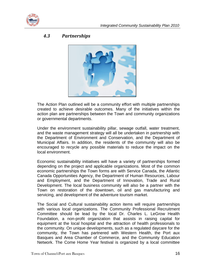

#### <span id="page-17-0"></span>*4.3 Partnerships*



The Action Plan outlined will be a community effort with multiple partnerships created to achieve desirable outcomes. Many of the initiatives within the action plan are partnerships between the Town and community organizations or governmental departments.

Under the environment sustainability pillar, sewage outfall, water treatment, and the waste management strategy will all be undertaken in partnership with the Department of Environment and Conservation, and the Department of Municipal Affairs. In addition, the residents of the community will also be encouraged to recycle any possible materials to reduce the impact on the local environment.

Economic sustainability initiatives will have a variety of partnerships formed depending on the project and applicable organizations. Most of the common economic partnerships the Town forms are with Service Canada, the Atlantic Canada Opportunities Agency, the Department of Human Resources, Labour and Employment, and the Department of Innovation, Trade and Rural Development. The local business community will also be a partner with the Town on restoration of the downtown, oil and gas manufacturing and servicing, and development of the adventure tourism market.

The Social and Cultural sustainability action items will require partnerships with various local organizations. The Community Professional Recruitment Committee should be lead by the local Dr. Charles L. LeGrow Health Foundation, a non-profit organization that assists in raising capital for equipment at the local hospital and the attraction of health professionals to the community. On unique developments, such as a regulated daycare for the community, the Town has partnered with Western Health, the Port aux Basques and Area Chamber of Commerce, and the Community Education Network. The Come Home Year festival is organized by a local committee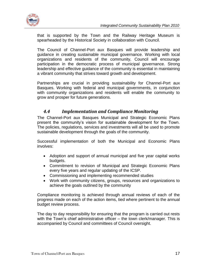

that is supported by the Town and the Railway Heritage Museum is spearheaded by the Historical Society in collaboration with Council.

The Council of Channel-Port aux Basques will provide leadership and guidance in creating sustainable municipal governance. Working with local organizations and residents of the community, Council will encourage participation in the democratic process of municipal governance. Strong leadership and effective guidance of the community is essential in maintaining a vibrant community that strives toward growth and development.

Partnerships are crucial in providing sustainability for Channel-Port aux Basques. Working with federal and municipal governments, in conjunction with community organizations and residents will enable the community to grow and prosper for future generations.

#### *4.4 Implementation and Compliance Monitoring*

<span id="page-18-0"></span>The Channel-Port aux Basques Municipal and Strategic Economic Plans present the community's vision for sustainable development for the Town. The policies, regulations, services and investments will all be used to promote sustainable development through the goals of the community.

Successful implementation of both the Municipal and Economic Plans involves:

- Adoption and support of annual municipal and five year capital works budgets.
- Commitment to revision of Municipal and Strategic Economic Plans every five years and regular updating of the ICSP.
- Commissioning and implementing recommended studies
- Work with community citizens, groups, resources and organizations to achieve the goals outlined by the community

Compliance monitoring is achieved through annual reviews of each of the progress made on each of the action items, tied where pertinent to the annual budget review process.

The day to day responsibility for ensuring that the program is carried out rests with the Town's chief administrative officer – the town clerk/manager. This is accompanied by Council and committees of Council oversight.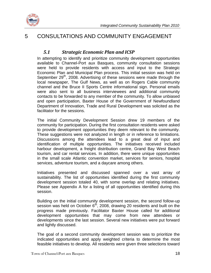

# <span id="page-19-1"></span><span id="page-19-0"></span>5 CONSULTATIONS AND COMMUNITY ENGAGEMENT

#### *5.1 Strategic Economic Plan and ICSP*

In attempting to identify and prioritize community development opportunities available to Channel-Port aux Basques, community consultation sessions were held to provide residents with access and input to the Strategic Economic Plan and Municipal Plan process. This initial session was held on September  $29<sup>th</sup>$ , 2008. Advertising of these sessions were made through the local newspaper, The Gulf News, as well as on Rogers Cable community channel and the Bruce II Sports Centre informational sign. Personal emails were also sent to all business interviewees and additional community contacts to be forwarded to any member of the community. To allow unbiased and open participation, Baxter House of the Government of Newfoundland Department of Innovation, Trade and Rural Development was solicited as the facilitator for the sessions.

The initial Community Development Session drew 19 members of the community for participation. During the first consultation residents were asked to provide development opportunities they deem relevant to the community. These suggestions were not analyzed in length or in reference to limitations. Discussions among the attendees lead to a great deal of input and identification of multiple opportunities. The initiatives received included harbour development, a freight distribution centre, Grand Bay West Beach tourism, and car rental services. In addition, there were unique opportunities in the small scale Atlantic convention market, services for seniors, hospital services, adventure tourism, and a daycare among others.

Initiatives presented and discussed spanned over a vast array of sustainability. The list of opportunities identified during the first community development session totaled 40, with some overlap and relating initiatives. Please see Appendix A for a listing of all opportunities identified during this session.

Building on the initial community development session, the second follow-up session was held on October  $6<sup>th</sup>$ , 2008, drawing 20 residents and built on the progress made previously. Facilitator Baxter House called for additional development opportunities that may come from new attendees or developments since the last session. Several new initiatives were put forward and lightly discussed.

The goal of a second community development session was to prioritize the indicated opportunities and apply weighted criteria to determine the most feasible initiatives to develop. All residents were given three selections toward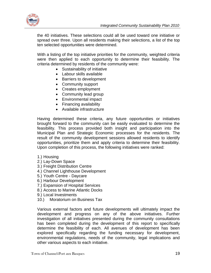

the 40 initiatives. These selections could all be used toward one initiative or spread over three. Upon all residents making their selections, a list of the top ten selected opportunities were determined.

With a listing of the top initiative priorities for the community, weighted criteria were then applied to each opportunity to determine their feasibility. The criteria determined by residents of the community were:

- Sustainability of initiative
- Labour skills available
- Barriers to development
- Community support
- Creates employment
- Community lead group
- Environmental impact
- Financing availability
- Available infrastructure

Having determined these criteria, any future opportunities or initiatives brought forward to the community can be easily evaluated to determine the feasibility. This process provided both insight and participation into the Municipal Plan and Strategic Economic processes for the residents. The result of the community development sessions allowed residents to identify opportunities, prioritize them and apply criteria to determine their feasibility. Upon completion of this process, the following initiatives were ranked:

- 1.) Housing
- 2.) Lay-Down Space
- 3.) Freight Distribution Centre
- 4.) Channel Lighthouse Development
- 5.) Youth Centre Daycare
- 6.) Harbour Development
- 7.) Expansion of Hospital Services
- 8.) Access to Marine Atlantic Docks
- 9.) Local Investments
- 10.) Moratorium on Business Tax

Various external factors and future developments will ultimately impact the development and progress on any of the above initiatives. Further investigation of all initiatives presented during the community consultations has been completed during the development of this report to specifically determine the feasibility of each. All avenues of development has been explored specifically regarding the funding necessary for development, environmental regulations, needs of the community, legal implications and other various aspects to each initiative.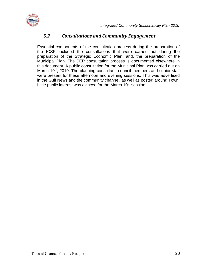

#### *5.2 Consultations and Community Engagement*

<span id="page-21-0"></span>Essential components of the consultation process during the preparation of the ICSP included the consultations that were carried out during the preparation of the Strategic Economic Plan, and, the preparation of the Municipal Plan. The SEP consultation process is documented elsewhere in this document. A public consultation for the Municipal Plan was carried out on March  $10<sup>th</sup>$ , 2010. The planning consultant, council members and senior staff were present for these afternoon and evening sessions. This was advertised in the Gulf News and the community channel, as well as posted around Town. Little public interest was evinced for the March 10<sup>th</sup> session.